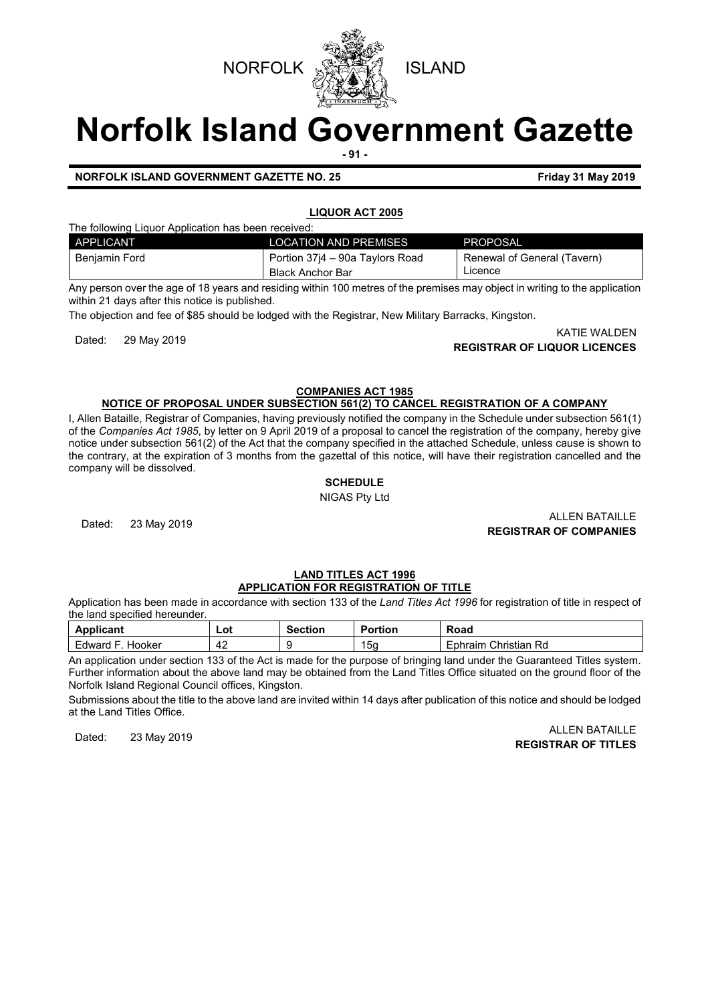

# **Norfolk Island Government Gazette - 91 -**

**NORFOLK ISLAND GOVERNMENT GAZETTE NO. 25 Friday 31 May 2019**

# **LIQUOR ACT 2005**

The following Liquor Application has been received:

| APPLICANT     | <b>LOCATION AND PREMISES</b>    | PROPOSAL                    |
|---------------|---------------------------------|-----------------------------|
| Beniamin Ford | Portion 37i4 – 90a Taylors Road | Renewal of General (Tavern) |
|               | Black Anchor Bar                | Licence                     |

Any person over the age of 18 years and residing within 100 metres of the premises may object in writing to the application within 21 days after this notice is published.

The objection and fee of \$85 should be lodged with the Registrar, New Military Barracks, Kingston.

KATIE WALDEN<br>**REGISTRAR OF LIQUOR LICENCES** (Katalog and the control of the control of the control of the control of the con

**COMPANIES ACT 1985**

# **NOTICE OF PROPOSAL UNDER SUBSECTION 561(2) TO CANCEL REGISTRATION OF A COMPANY**

I, Allen Bataille, Registrar of Companies, having previously notified the company in the Schedule under subsection 561(1) of the *Companies Act 1985*, by letter on 9 April 2019 of a proposal to cancel the registration of the company, hereby give notice under subsection 561(2) of the Act that the company specified in the attached Schedule, unless cause is shown to the contrary, at the expiration of 3 months from the gazettal of this notice, will have their registration cancelled and the company will be dissolved.

# **SCHEDULE**

NIGAS Pty Ltd

Dated: 23 May 2019 ALLEN BATAILLE **REGISTRAR OF COMPANIES**

# **LAND TITLES ACT 1996 APPLICATION FOR REGISTRATION OF TITLE**

Application has been made in accordance with section 133 of the *Land Titles Act 1996* for registration of title in respect of the land specified hereunder.

| Annlicant<br>.ан       | ∟ot | -<br>ction | Portion | Road                       |
|------------------------|-----|------------|---------|----------------------------|
| Hooker<br>Edward<br>ــ | 74  | u<br>×.    | 15a     | Christian<br>Rd<br>Ephraim |

An application under section 133 of the Act is made for the purpose of bringing land under the Guaranteed Titles system. Further information about the above land may be obtained from the Land Titles Office situated on the ground floor of the Norfolk Island Regional Council offices, Kingston.

Submissions about the title to the above land are invited within 14 days after publication of this notice and should be lodged at the Land Titles Office.

# Dated: 23 May 2019 ALLEN BATAILLE **REGISTRAR OF TITLES**

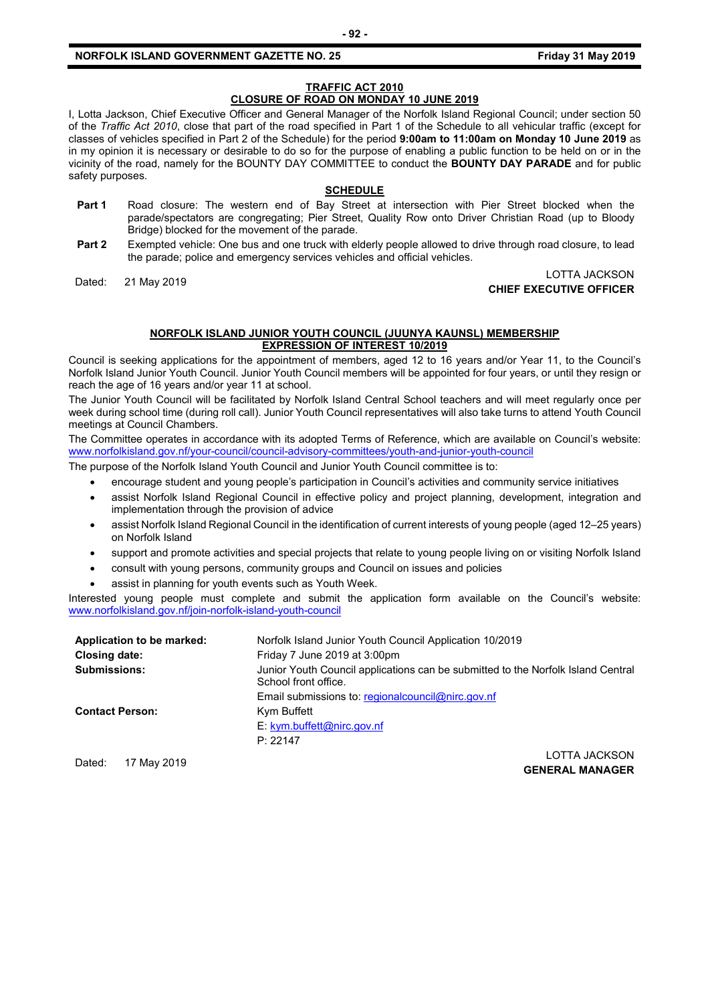#### **NORFOLK ISLAND GOVERNMENT GAZETTE NO. 25 Friday 31 May 2019**

# **TRAFFIC ACT 2010**

# **CLOSURE OF ROAD ON MONDAY 10 JUNE 2019**

I, Lotta Jackson, Chief Executive Officer and General Manager of the Norfolk Island Regional Council; under section 50 of the *Traffic Act 2010*, close that part of the road specified in Part 1 of the Schedule to all vehicular traffic (except for classes of vehicles specified in Part 2 of the Schedule) for the period **9:00am to 11:00am on Monday 10 June 2019** as in my opinion it is necessary or desirable to do so for the purpose of enabling a public function to be held on or in the vicinity of the road, namely for the BOUNTY DAY COMMITTEE to conduct the **BOUNTY DAY PARADE** and for public safety purposes.

#### **SCHEDULE**

- **Part 1** Road closure: The western end of Bay Street at intersection with Pier Street blocked when the parade/spectators are congregating; Pier Street, Quality Row onto Driver Christian Road (up to Bloody Bridge) blocked for the movement of the parade.
- **Part 2** Exempted vehicle: One bus and one truck with elderly people allowed to drive through road closure, to lead the parade; police and emergency services vehicles and official vehicles.

#### Dated: 21 May 2019<br>Curre executive official **CHIEF EXECUTIVE OFFICER**

#### **NORFOLK ISLAND JUNIOR YOUTH COUNCIL (JUUNYA KAUNSL) MEMBERSHIP EXPRESSION OF INTEREST 10/2019**

Council is seeking applications for the appointment of members, aged 12 to 16 years and/or Year 11, to the Council's Norfolk Island Junior Youth Council. Junior Youth Council members will be appointed for four years, or until they resign or reach the age of 16 years and/or year 11 at school.

The Junior Youth Council will be facilitated by Norfolk Island Central School teachers and will meet regularly once per week during school time (during roll call). Junior Youth Council representatives will also take turns to attend Youth Council meetings at Council Chambers.

The Committee operates in accordance with its adopted Terms of Reference, which are available on Council's website: [www.norfolkisland.gov.nf/your-council/council-advisory-committees/youth-and-junior-youth-council](http://www.norfolkisland.gov.nf/your-council/council-advisory-committees/youth-and-junior-youth-council)

The purpose of the Norfolk Island Youth Council and Junior Youth Council committee is to:

- encourage student and young people's participation in Council's activities and community service initiatives
- assist Norfolk Island Regional Council in effective policy and project planning, development, integration and implementation through the provision of advice
- assist Norfolk Island Regional Council in the identification of current interests of young people (aged 12–25 years) on Norfolk Island
- support and promote activities and special projects that relate to young people living on or visiting Norfolk Island
- consult with young persons, community groups and Council on issues and policies
- assist in planning for youth events such as Youth Week.

Interested young people must complete and submit the application form available on the Council's website: [www.norfolkisland.gov.nf/join-norfolk-island-youth-council](http://www.norfolkisland.gov.nf/join-norfolk-island-youth-council)

| Application to be marked: | Norfolk Island Junior Youth Council Application 10/2019                                                  |
|---------------------------|----------------------------------------------------------------------------------------------------------|
| Closing date:             | Friday 7 June 2019 at 3:00pm                                                                             |
| <b>Submissions:</b>       | Junior Youth Council applications can be submitted to the Norfolk Island Central<br>School front office. |
|                           | Email submissions to: regional council @nirc.gov.nf                                                      |
| <b>Contact Person:</b>    | Kym Buffett                                                                                              |
|                           | E: kym.buffett@nirc.gov.nf                                                                               |
|                           | P: 22147                                                                                                 |
|                           | $\cap$ TTA IAOI/OONI                                                                                     |

Dated: 17 May 2019 LOTTA JACKSON **GENERAL MANAGER**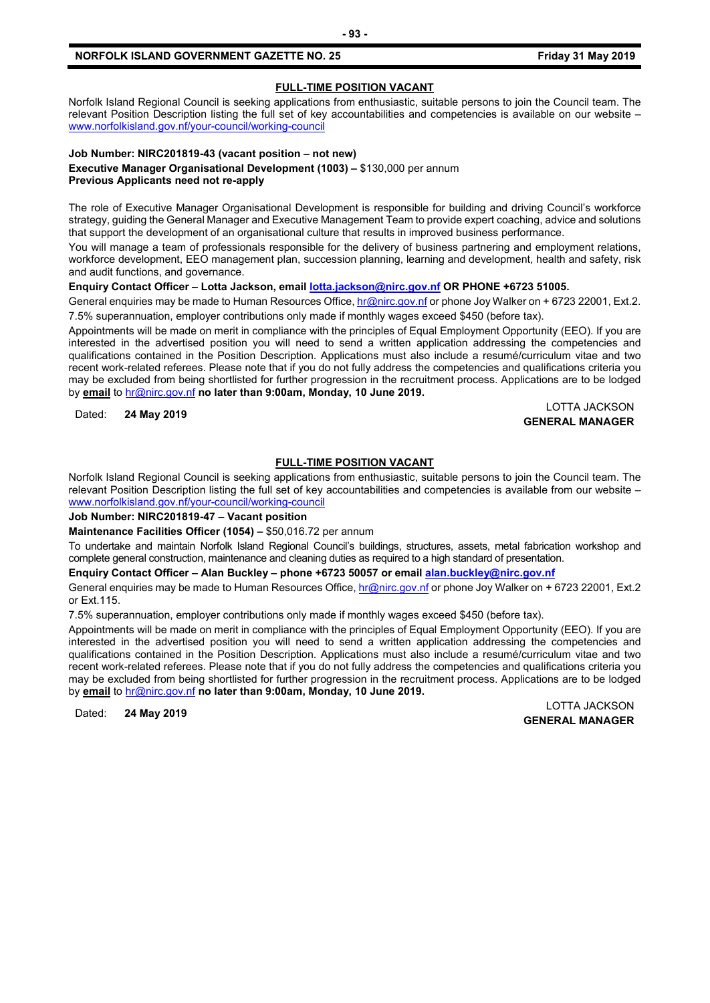#### **NORFOLK ISLAND GOVERNMENT GAZETTE NO. 25 Friday 31 May 2019**

# **FULL-TIME POSITION VACANT**

Norfolk Island Regional Council is seeking applications from enthusiastic, suitable persons to join the Council team. The relevant Position Description listing the full set of key accountabilities and competencies is available on our website – [www.norfolkisland.gov.nf/your-council/working-council](http://www.norfolkisland.gov.nf/your-council/working-council)

# **Job Number: NIRC201819-43 (vacant position – not new)**

**Executive Manager Organisational Development (1003) –** \$130,000 per annum **Previous Applicants need not re-apply**

The role of Executive Manager Organisational Development is responsible for building and driving Council's workforce strategy, guiding the General Manager and Executive Management Team to provide expert coaching, advice and solutions that support the development of an organisational culture that results in improved business performance.

You will manage a team of professionals responsible for the delivery of business partnering and employment relations, workforce development, EEO management plan, succession planning, learning and development, health and safety, risk and audit functions, and governance.

# **Enquiry Contact Officer – Lotta Jackson, emai[l lotta.jackson@nirc.gov.nf](mailto:lotta.jackson@nirc.gov.nf) OR PHONE +6723 51005.**

General enquiries may be made to Human Resources Office, [hr@nirc.gov.nf](mailto:hr@nirc.gov.nf) or phone Joy Walker on + 6723 22001, Ext.2. 7.5% superannuation, employer contributions only made if monthly wages exceed \$450 (before tax).

Appointments will be made on merit in compliance with the principles of Equal Employment Opportunity (EEO). If you are interested in the advertised position you will need to send a written application addressing the competencies and qualifications contained in the Position Description. Applications must also include a resumé/curriculum vitae and two recent work-related referees. Please note that if you do not fully address the competencies and qualifications criteria you may be excluded from being shortlisted for further progression in the recruitment process. Applications are to be lodged by **email** to [hr@nirc.gov.nf](mailto:hr@nirc.gov.nf) **no later than 9:00am, Monday, 10 June 2019.** 

Dated: **24 May 2019** LOTTA JACKSON **GENERAL MANAGER**

# **FULL-TIME POSITION VACANT**

Norfolk Island Regional Council is seeking applications from enthusiastic, suitable persons to join the Council team. The relevant Position Description listing the full set of key accountabilities and competencies is available from our website – [www.norfolkisland.gov.nf/your-council/working-council](http://www.norfolkisland.gov.nf/your-council/working-council)

# **Job Number: NIRC201819-47 – Vacant position**

**Maintenance Facilities Officer (1054) –** \$50,016.72 per annum

To undertake and maintain Norfolk Island Regional Council's buildings, structures, assets, metal fabrication workshop and complete general construction, maintenance and cleaning duties as required to a high standard of presentation.

**Enquiry Contact Officer – Alan Buckley – phone +6723 50057 or email [alan.buckley@nirc.gov.nf](mailto:alan.buckley@nirc.gov.nf)**

General enquiries may be made to Human Resources Office[, hr@nirc.gov.nf](mailto:hr@nirc.gov.nf) or phone Joy Walker on + 6723 22001, Ext.2 or Ext.115.

7.5% superannuation, employer contributions only made if monthly wages exceed \$450 (before tax).

Appointments will be made on merit in compliance with the principles of Equal Employment Opportunity (EEO). If you are interested in the advertised position you will need to send a written application addressing the competencies and qualifications contained in the Position Description. Applications must also include a resumé/curriculum vitae and two recent work-related referees. Please note that if you do not fully address the competencies and qualifications criteria you may be excluded from being shortlisted for further progression in the recruitment process. Applications are to be lodged by **email** to [hr@nirc.gov.nf](mailto:hr@nirc.gov.nf) **no later than 9:00am, Monday, 10 June 2019.** 

Dated: **24 May 2019** LOTTA JACKSON **GENERAL MANAGER**